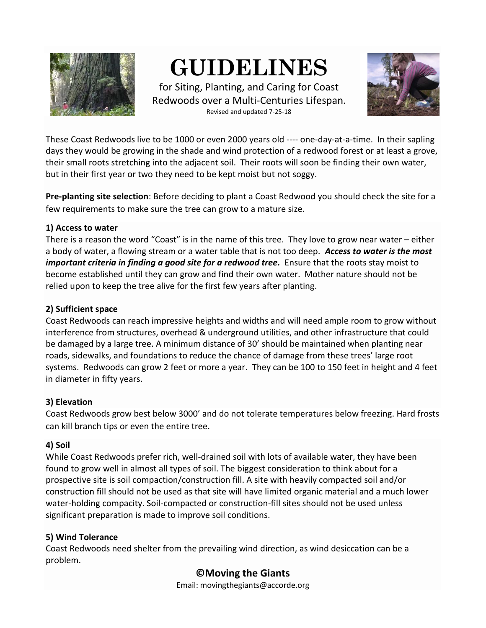

# **GUIDELINES**

for Siting, Planting, and Caring for Coast Redwoods over a Multi-Centuries Lifespan. Revised and updated 7-25-18



These Coast Redwoods live to be 1000 or even 2000 years old ---- one-day-at-a-time. In their sapling days they would be growing in the shade and wind protection of a redwood forest or at least a grove, their small roots stretching into the adjacent soil. Their roots will soon be finding their own water, but in their first year or two they need to be kept moist but not soggy.

**Pre-planting site selection**: Before deciding to plant a Coast Redwood you should check the site for a few requirements to make sure the tree can grow to a mature size.

#### **1) Access to water**

There is a reason the word "Coast" is in the name of this tree. They love to grow near water – either a body of water, a flowing stream or a water table that is not too deep.*Access to water is the most important criteria in finding a good site for a redwood tree.* Ensure that the roots stay moist to become established until they can grow and find their own water. Mother nature should not be relied upon to keep the tree alive for the first few years after planting.

#### **2) Sufficient space**

Coast Redwoods can reach impressive heights and widths and will need ample room to grow without interference from structures, overhead & underground utilities, and other infrastructure that could be damaged by a large tree. A minimum distance of 30' should be maintained when planting near roads, sidewalks, and foundations to reduce the chance of damage from these trees' large root systems. Redwoods can grow 2 feet or more a year. They can be 100 to 150 feet in height and 4 feet in diameter in fifty years.

#### **3) Elevation**

Coast Redwoods grow best below 3000' and do not tolerate temperatures below freezing. Hard frosts can kill branch tips or even the entire tree.

#### **4) Soil**

While Coast Redwoods prefer rich, well-drained soil with lots of available water, they have been found to grow well in almost all types of soil. The biggest consideration to think about for a prospective site is soil compaction/construction fill. A site with heavily compacted soil and/or construction fill should not be used as that site will have limited organic material and a much lower water-holding compacity. Soil-compacted or construction-fill sites should not be used unless significant preparation is made to improve soil conditions.

#### **5) Wind Tolerance**

Coast Redwoods need shelter from the prevailing wind direction, as wind desiccation can be a problem.

### **©Moving the Giants**

Email: movingthegiants@accorde.org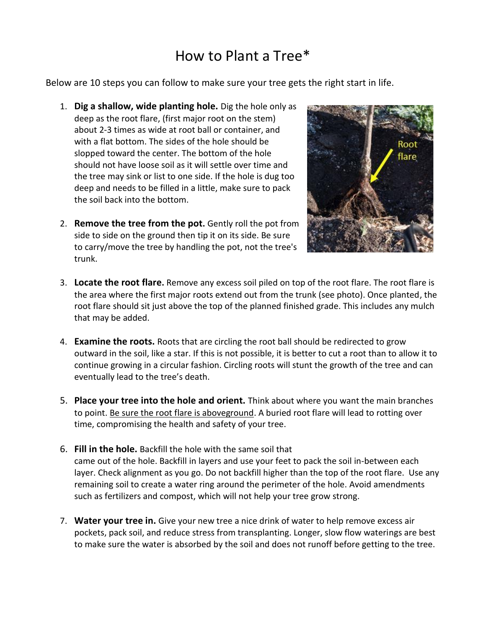## How to Plant a Tree\*

Below are 10 steps you can follow to make sure your tree gets the right start in life.

- 1. **Dig a shallow, wide planting hole.** Dig the hole only as deep as the root flare, (first major root on the stem) about 2-3 times as wide at root ball or container, and with a flat bottom. The sides of the hole should be slopped toward the center. The bottom of the hole should not have loose soil as it will settle over time and the tree may sink or list to one side. If the hole is dug too deep and needs to be filled in a little, make sure to pack the soil back into the bottom.
- 2. **Remove the tree from the pot.** Gently roll the pot from side to side on the ground then tip it on its side. Be sure to carry/move the tree by handling the pot, not the tree's trunk.



- 3. **Locate the root flare.** Remove any excess soil piled on top of the root flare. The root flare is the area where the first major roots extend out from the trunk (see photo). Once planted, the root flare should sit just above the top of the planned finished grade. This includes any mulch that may be added.
- 4. **Examine the roots.** Roots that are circling the root ball should be redirected to grow outward in the soil, like a star. If this is not possible, it is better to cut a root than to allow it to continue growing in a circular fashion. Circling roots will stunt the growth of the tree and can eventually lead to the tree's death.
- 5. **Place your tree into the hole and orient.** Think about where you want the main branches to point. Be sure the root flare is aboveground. A buried root flare will lead to rotting over time, compromising the health and safety of your tree.
- 6. **Fill in the hole.** Backfill the hole with the same soil that came out of the hole. Backfill in layers and use your feet to pack the soil in-between each layer. Check alignment as you go. Do not backfill higher than the top of the root flare. Use any remaining soil to create a water ring around the perimeter of the hole. Avoid amendments such as fertilizers and compost, which will not help your tree grow strong.
- 7. **Water your tree in.** Give your new tree a nice drink of water to help remove excess air pockets, pack soil, and reduce stress from transplanting. Longer, slow flow waterings are best to make sure the water is absorbed by the soil and does not runoff before getting to the tree.